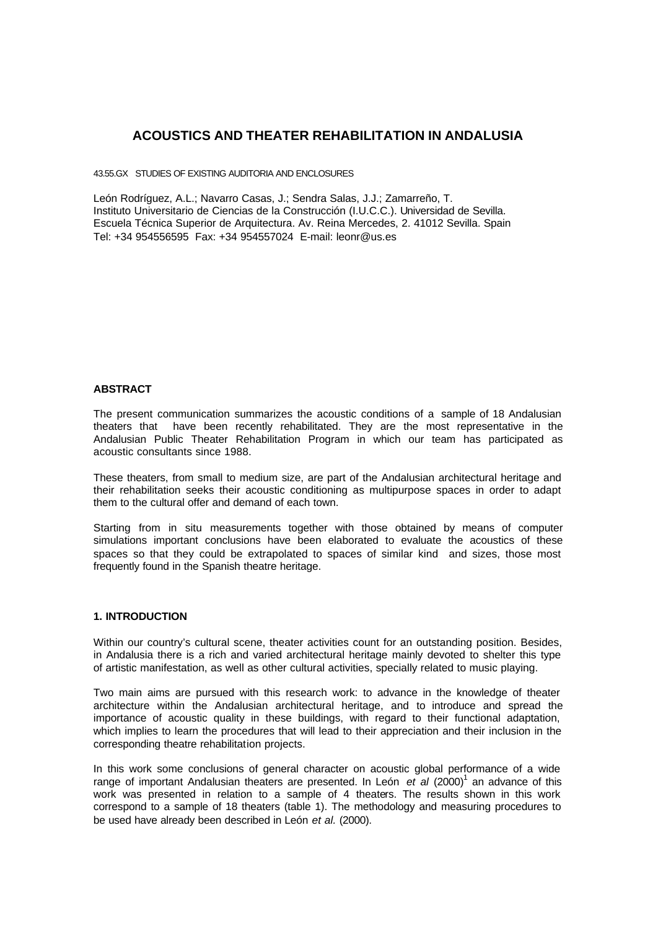# **ACOUSTICS AND THEATER REHABILITATION IN ANDALUSIA**

43.55.GX STUDIES OF EXISTING AUDITORIA AND ENCLOSURES

León Rodríguez, A.L.; Navarro Casas, J.; Sendra Salas, J.J.; Zamarreño, T. Instituto Universitario de Ciencias de la Construcción (I.U.C.C.). Universidad de Sevilla. Escuela Técnica Superior de Arquitectura. Av. Reina Mercedes, 2. 41012 Sevilla. Spain Tel: +34 954556595 Fax: +34 954557024 E-mail: leonr@us.es

### **ABSTRACT**

The present communication summarizes the acoustic conditions of a sample of 18 Andalusian theaters that have been recently rehabilitated. They are the most representative in the Andalusian Public Theater Rehabilitation Program in which our team has participated as acoustic consultants since 1988.

These theaters, from small to medium size, are part of the Andalusian architectural heritage and their rehabilitation seeks their acoustic conditioning as multipurpose spaces in order to adapt them to the cultural offer and demand of each town.

Starting from in situ measurements together with those obtained by means of computer simulations important conclusions have been elaborated to evaluate the acoustics of these spaces so that they could be extrapolated to spaces of similar kind and sizes, those most frequently found in the Spanish theatre heritage.

### **1. INTRODUCTION**

Within our country's cultural scene, theater activities count for an outstanding position. Besides, in Andalusia there is a rich and varied architectural heritage mainly devoted to shelter this type of artistic manifestation, as well as other cultural activities, specially related to music playing.

Two main aims are pursued with this research work: to advance in the knowledge of theater architecture within the Andalusian architectural heritage, and to introduce and spread the importance of acoustic quality in these buildings, with regard to their functional adaptation, which implies to learn the procedures that will lead to their appreciation and their inclusion in the corresponding theatre rehabilitation projects.

In this work some conclusions of general character on acoustic global performance of a wide range of important Andalusian theaters are presented. In León et al (2000)<sup>1</sup> an advance of this work was presented in relation to a sample of 4 theaters. The results shown in this work correspond to a sample of 18 theaters (table 1). The methodology and measuring procedures to be used have already been described in León *et al.* (2000).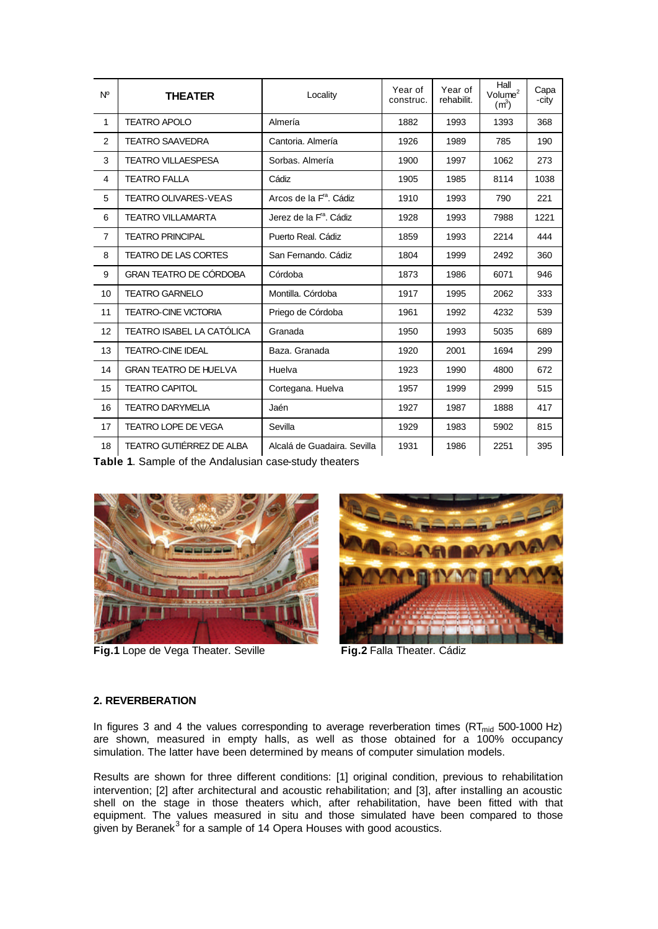| $N^{\circ}$    | <b>THEATER</b>                | Locality                            | Year of<br>construc. | Year of<br>rehabilit. | Hall<br>Volume <sup>2</sup><br>(m <sup>3</sup> ) | Capa<br>-city |
|----------------|-------------------------------|-------------------------------------|----------------------|-----------------------|--------------------------------------------------|---------------|
| $\mathbf 1$    | <b>TEATRO APOLO</b>           | Almería                             | 1882                 | 1993                  | 1393                                             | 368           |
| 2              | <b>TEATRO SAAVEDRA</b>        | Cantoria, Almería                   | 1926                 | 1989                  | 785                                              | 190           |
| 3              | <b>TEATRO VILLAESPESA</b>     | Sorbas, Almería                     | 1900                 | 1997                  | 1062                                             | 273           |
| 4              | <b>TEATRO FALLA</b>           | Cádiz                               | 1905                 | 1985                  | 8114                                             | 1038          |
| 5              | <b>TEATRO OLIVARES-VEAS</b>   | Arcos de la F <sup>ra</sup> . Cádiz | 1910                 | 1993                  | 790                                              | 221           |
| 6              | <b>TEATRO VILLAMARTA</b>      | Jerez de la F <sup>ra</sup> . Cádiz | 1928                 | 1993                  | 7988                                             | 1221          |
| $\overline{7}$ | <b>TEATRO PRINCIPAL</b>       | Puerto Real, Cádiz                  | 1859                 | 1993                  | 2214                                             | 444           |
| 8              | <b>TEATRO DE LAS CORTES</b>   | San Fernando, Cádiz                 | 1804                 | 1999                  | 2492                                             | 360           |
| 9              | <b>GRAN TEATRO DE CÓRDOBA</b> | Córdoba                             | 1873                 | 1986                  | 6071                                             | 946           |
| 10             | <b>TEATRO GARNELO</b>         | Montilla, Córdoba                   | 1917                 | 1995                  | 2062                                             | 333           |
| 11             | <b>TEATRO-CINE VICTORIA</b>   | Priego de Córdoba                   | 1961                 | 1992                  | 4232                                             | 539           |
| 12             | TEATRO ISABEL LA CATÓLICA     | Granada                             | 1950                 | 1993                  | 5035                                             | 689           |
| 13             | <b>TEATRO-CINE IDEAL</b>      | Baza, Granada                       | 1920                 | 2001                  | 1694                                             | 299           |
| 14             | <b>GRAN TEATRO DE HUELVA</b>  | Huelva                              | 1923                 | 1990                  | 4800                                             | 672           |
| 15             | <b>TEATRO CAPITOL</b>         | Cortegana. Huelva                   | 1957                 | 1999                  | 2999                                             | 515           |
| 16             | <b>TEATRO DARYMELIA</b>       | Jaén                                | 1927                 | 1987                  | 1888                                             | 417           |
| 17             | <b>TEATRO LOPE DE VEGA</b>    | Sevilla                             | 1929                 | 1983                  | 5902                                             | 815           |
| 18             | TEATRO GUTIÉRREZ DE ALBA      | Alcalá de Guadaira. Sevilla         | 1931                 | 1986                  | 2251                                             | 395           |

**Table 1**. Sample of the Andalusian case-study theaters



**Fig.1** Lope de Vega Theater. Seville **Fig.2** Falla Theater. Cádiz



## **2. REVERBERATION**

In figures 3 and 4 the values corresponding to average reverberation times  $(RT<sub>mid</sub> 500-1000 Hz)$ are shown, measured in empty halls, as well as those obtained for a 100% occupancy simulation. The latter have been determined by means of computer simulation models.

Results are shown for three different conditions: [1] original condition, previous to rehabilitation intervention; [2] after architectural and acoustic rehabilitation; and [3], after installing an acoustic shell on the stage in those theaters which, after rehabilitation, have been fitted with that equipment. The values measured in situ and those simulated have been compared to those given by Beranek<sup>3</sup> for a sample of 14 Opera Houses with good acoustics.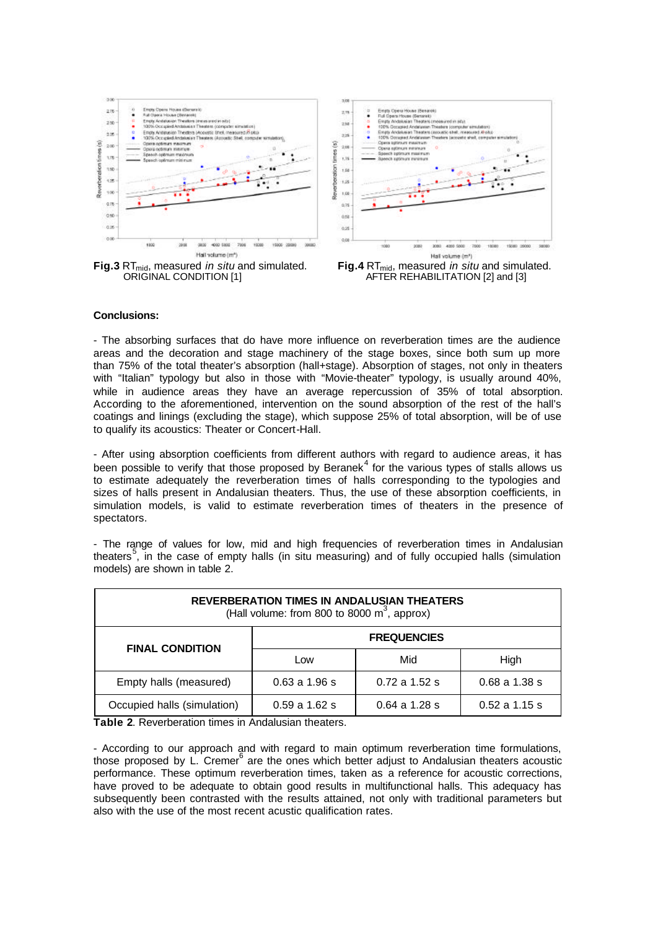

#### **Conclusions:**

- The absorbing surfaces that do have more influence on reverberation times are the audience areas and the decoration and stage machinery of the stage boxes, since both sum up more than 75% of the total theater's absorption (hall+stage). Absorption of stages, not only in theaters with "Italian" typology but also in those with "Movie-theater" typology, is usually around 40%, while in audience areas they have an average repercussion of 35% of total absorption. According to the aforementioned, intervention on the sound absorption of the rest of the hall's coatings and linings (excluding the stage), which suppose 25% of total absorption, will be of use to qualify its acoustics: Theater or Concert-Hall.

- After using absorption coefficients from different authors with regard to audience areas, it has been possible to verify that those proposed by Beranek $<sup>4</sup>$  for the various types of stalls allows us</sup> to estimate adequately the reverberation times of halls corresponding to the typologies and sizes of halls present in Andalusian theaters. Thus, the use of these absorption coefficients, in simulation models, is valid to estimate reverberation times of theaters in the presence of spectators.

- The range of values for low, mid and high frequencies of reverberation times in Andalusian theaters<sup>5</sup>, in the case of empty halls (in situ measuring) and of fully occupied halls (simulation models) are shown in table 2.

| <b>REVERBERATION TIMES IN ANDALUSIAN THEATERS</b><br>(Hall volume: from 800 to 8000 $m^3$ , approx) |                    |                 |                 |  |  |  |
|-----------------------------------------------------------------------------------------------------|--------------------|-----------------|-----------------|--|--|--|
| <b>FINAL CONDITION</b>                                                                              | <b>FREQUENCIES</b> |                 |                 |  |  |  |
|                                                                                                     | Low                | Mid             | High            |  |  |  |
| Empty halls (measured)                                                                              | $0.63$ a $1.96$ s  | $0.72$ a 1.52 s | $0.68$ a 1.38 s |  |  |  |
| Occupied halls (simulation)                                                                         | $0.59$ a 1.62 s    | $0.64$ a 1.28 s | $0.52$ a 1.15 s |  |  |  |

**Table 2**. Reverberation times in Andalusian theaters.

- According to our approach and with regard to main optimum reverberation time formulations, those proposed by L. Cremer $^6$  are the ones which better adjust to Andalusian theaters acoustic performance. These optimum reverberation times, taken as a reference for acoustic corrections, have proved to be adequate to obtain good results in multifunctional halls. This adequacy has subsequently been contrasted with the results attained, not only with traditional parameters but also with the use of the most recent acustic qualification rates.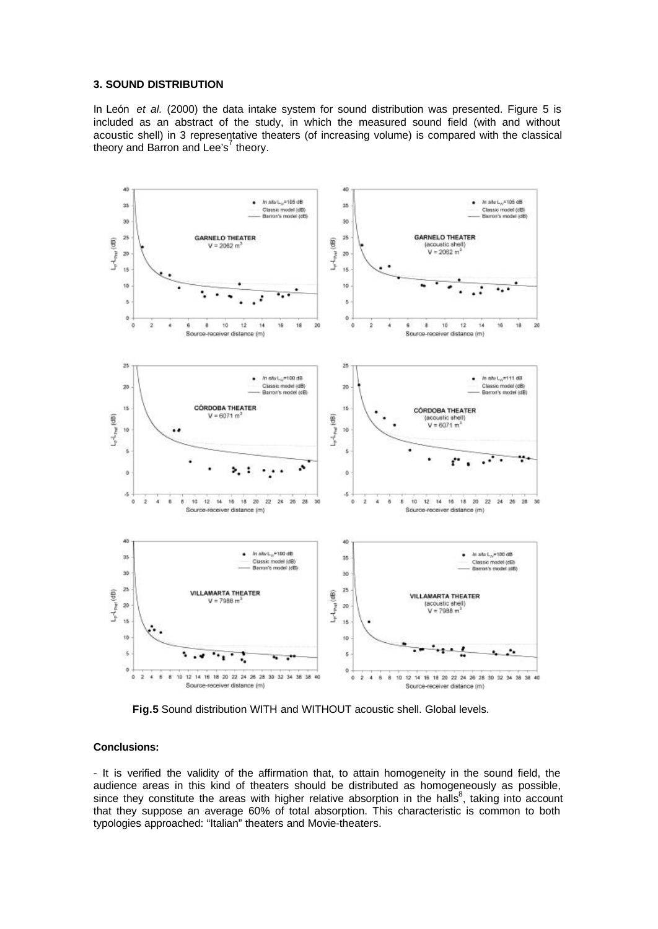### **3. SOUND DISTRIBUTION**

In León *et al.* (2000) the data intake system for sound distribution was presented. Figure 5 is included as an abstract of the study, in which the measured sound field (with and without acoustic shell) in 3 representative theaters (of increasing volume) is compared with the classical theory and Barron and Lee's<sup>7</sup> theory.



**Fig.5** Sound distribution WITH and WITHOUT acoustic shell. Global levels.

## **Conclusions:**

- It is verified the validity of the affirmation that, to attain homogeneity in the sound field, the audience areas in this kind of theaters should be distributed as homogeneously as possible, since they constitute the areas with higher relative absorption in the halls<sup>8</sup>, taking into account that they suppose an average 60% of total absorption. This characteristic is common to both typologies approached: "Italian" theaters and Movie-theaters.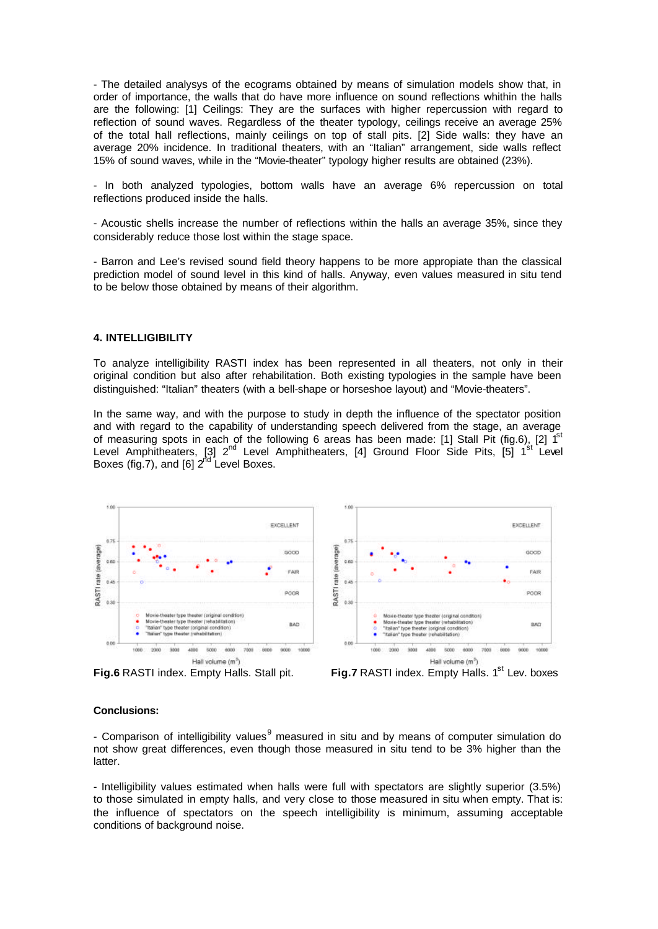- The detailed analysys of the ecograms obtained by means of simulation models show that, in order of importance, the walls that do have more influence on sound reflections whithin the halls are the following: [1] Ceilings: They are the surfaces with higher repercussion with regard to reflection of sound waves. Regardless of the theater typology, ceilings receive an average 25% of the total hall reflections, mainly ceilings on top of stall pits. [2] Side walls: they have an average 20% incidence. In traditional theaters, with an "Italian" arrangement, side walls reflect 15% of sound waves, while in the "Movie-theater" typology higher results are obtained (23%).

- In both analyzed typologies, bottom walls have an average 6% repercussion on total reflections produced inside the halls.

- Acoustic shells increase the number of reflections within the halls an average 35%, since they considerably reduce those lost within the stage space.

- Barron and Lee's revised sound field theory happens to be more appropiate than the classical prediction model of sound level in this kind of halls. Anyway, even values measured in situ tend to be below those obtained by means of their algorithm.

#### **4. INTELLIGIBILITY**

To analyze intelligibility RASTI index has been represented in all theaters, not only in their original condition but also after rehabilitation. Both existing typologies in the sample have been distinguished: "Italian" theaters (with a bell-shape or horseshoe layout) and "Movie-theaters".

In the same way, and with the purpose to study in depth the influence of the spectator position and with regard to the capability of understanding speech delivered from the stage, an average of measuring spots in each of the following 6 areas has been made: [1] Stall Pit (fig.6), [2]  $1<sup>st</sup>$ Level Amphitheaters, [3] 2<sup>nd</sup> Level Amphitheaters, [4] Ground Floor Side Pits, [5] 1 <sup>st</sup> Level Boxes (fig.7), and [6]  $2^{nd}$  Level Boxes.





#### **Conclusions:**

- Comparison of intelligibility values<sup>9</sup> measured in situ and by means of computer simulation do not show great differences, even though those measured in situ tend to be 3% higher than the latter.

- Intelligibility values estimated when halls were full with spectators are slightly superior (3.5%) to those simulated in empty halls, and very close to those measured in situ when empty. That is: the influence of spectators on the speech intelligibility is minimum, assuming acceptable conditions of background noise.